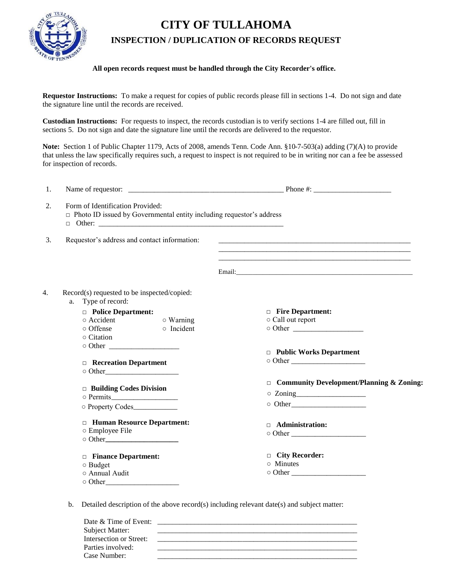## **CITY OF TULLAHOMA**



## **INSPECTION / DUPLICATION OF RECORDS REQUEST**

## **All open records request must be handled through the City Recorder's office.**

**Requestor Instructions:** To make a request for copies of public records please fill in sections 1-4. Do not sign and date the signature line until the records are received.

**Custodian Instructions:** For requests to inspect, the records custodian is to verify sections 1-4 are filled out, fill in sections 5. Do not sign and date the signature line until the records are delivered to the requestor.

**Note:** Section 1 of Public Chapter 1179, Acts of 2008, amends Tenn. Code Ann. §10-7-503(a) adding (7)(A) to provide that unless the law specifically requires such, a request to inspect is not required to be in writing nor can a fee be assessed for inspection of records.

| 1. |                                                                                                                 | Phone #: $\frac{1}{2}$ = $\frac{1}{2}$ = $\frac{1}{2}$ = $\frac{1}{2}$ = $\frac{1}{2}$ = $\frac{1}{2}$ = $\frac{1}{2}$ = $\frac{1}{2}$ = $\frac{1}{2}$ = $\frac{1}{2}$ = $\frac{1}{2}$ = $\frac{1}{2}$ = $\frac{1}{2}$ = $\frac{1}{2}$ = $\frac{1}{2}$ = $\frac{1}{2}$ = $\frac{1}{2}$ = $\frac{1}{2}$ |  |
|----|-----------------------------------------------------------------------------------------------------------------|--------------------------------------------------------------------------------------------------------------------------------------------------------------------------------------------------------------------------------------------------------------------------------------------------------|--|
| 2. | Form of Identification Provided:<br>$\Box$ Photo ID issued by Governmental entity including requestor's address |                                                                                                                                                                                                                                                                                                        |  |
| 3. | Requestor's address and contact information:                                                                    |                                                                                                                                                                                                                                                                                                        |  |
|    |                                                                                                                 | Email: Email: Email: Email: Email: Email: Email: Email: Email: Email: Email: Email: Email: Email: Email: Email: Email: Email: Email: Email: Email: Email: Email: Email: Email: Email: Email: Email: Email: Email: Email: Email                                                                         |  |
| 4. | Record(s) requested to be inspected/copied:<br>Type of record:<br>a.                                            |                                                                                                                                                                                                                                                                                                        |  |
|    | <b>Department:</b>                                                                                              | $\Box$ Fire Department:                                                                                                                                                                                                                                                                                |  |
|    | O Accident<br>$\circ$ Warning                                                                                   | ○ Call out report                                                                                                                                                                                                                                                                                      |  |
|    | $\circ$ Offense<br>$\circ$ Incident                                                                             |                                                                                                                                                                                                                                                                                                        |  |
|    | $\circ$ Citation                                                                                                |                                                                                                                                                                                                                                                                                                        |  |
|    |                                                                                                                 |                                                                                                                                                                                                                                                                                                        |  |
|    |                                                                                                                 | $\Box$ Public Works Department                                                                                                                                                                                                                                                                         |  |
|    | <b>Execution Department</b>                                                                                     |                                                                                                                                                                                                                                                                                                        |  |
|    |                                                                                                                 |                                                                                                                                                                                                                                                                                                        |  |
|    |                                                                                                                 | $\Box$ Community Development/Planning & Zoning:                                                                                                                                                                                                                                                        |  |
|    | $\Box$ Building Codes Division                                                                                  | $\circ$ Zoning                                                                                                                                                                                                                                                                                         |  |
|    |                                                                                                                 |                                                                                                                                                                                                                                                                                                        |  |
|    | O Property Codes                                                                                                |                                                                                                                                                                                                                                                                                                        |  |
|    | <b>El Human Resource Department:</b>                                                                            | <b>Administration:</b>                                                                                                                                                                                                                                                                                 |  |
|    | ○ Employee File                                                                                                 |                                                                                                                                                                                                                                                                                                        |  |
|    |                                                                                                                 |                                                                                                                                                                                                                                                                                                        |  |
|    | <b>Example 2</b> Finance Department:                                                                            | □ City Recorder:                                                                                                                                                                                                                                                                                       |  |
|    | o Budget                                                                                                        | ○ Minutes                                                                                                                                                                                                                                                                                              |  |
|    | o Annual Audit                                                                                                  |                                                                                                                                                                                                                                                                                                        |  |
|    | $\circ$ Other                                                                                                   |                                                                                                                                                                                                                                                                                                        |  |

b. Detailed description of the above record(s) including relevant date(s) and subject matter:

| Date & Time of Event:   |  |
|-------------------------|--|
| Subject Matter:         |  |
| Intersection or Street: |  |
| Parties involved:       |  |
| Case Number:            |  |